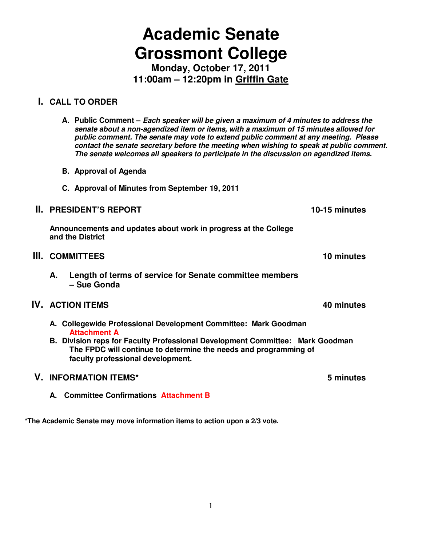# **Academic Senate Grossmont College**

**Monday, October 17, 2011 11:00am – 12:20pm in Griffin Gate** 

## **I. CALL TO ORDER**

- **A. Public Comment Each speaker will be given a maximum of 4 minutes to address the senate about a non-agendized item or items, with a maximum of 15 minutes allowed for public comment. The senate may vote to extend public comment at any meeting. Please contact the senate secretary before the meeting when wishing to speak at public comment. The senate welcomes all speakers to participate in the discussion on agendized items.**
- **B. Approval of Agenda**
- **C. Approval of Minutes from September 19, 2011**

#### **II. PRESIDENT'S REPORT 10-15 minutes**

**Announcements and updates about work in progress at the College and the District** 

- **III.** COMMITTEES **10** minutes **10** minutes
	- **A. Length of terms of service for Senate committee members – Sue Gonda**

#### **IV. ACTION ITEMS 10. 2012 12:20 12:20 12:20 12:20 12:20 12:20 12:20 12:20 12:20 12:20 12:20 12:20 12:20 12:20 12:20 12:20 12:20 12:20 12:20 12:20 12:20 12:20 12:20 12:20 12:20 12:20 12:20 12:20 12:20 12:20 12:20 12:20**

- **A. Collegewide Professional Development Committee: Mark Goodman Attachment A**
- **B. Division reps for Faculty Professional Development Committee: Mark Goodman The FPDC will continue to determine the needs and programming of faculty professional development.**

## **V. INFORMATION ITEMS\* 5 minutes**

**A. Committee Confirmations Attachment B**

**\*The Academic Senate may move information items to action upon a 2/3 vote.**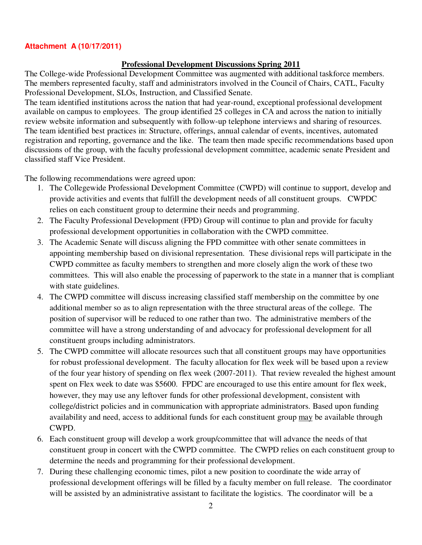#### **Attachment A (10/17/2011)**

#### **Professional Development Discussions Spring 2011**

The College-wide Professional Development Committee was augmented with additional taskforce members. The members represented faculty, staff and administrators involved in the Council of Chairs, CATL, Faculty Professional Development, SLOs, Instruction, and Classified Senate.

The team identified institutions across the nation that had year-round, exceptional professional development available on campus to employees. The group identified 25 colleges in CA and across the nation to initially review website information and subsequently with follow-up telephone interviews and sharing of resources. The team identified best practices in: Structure, offerings, annual calendar of events, incentives, automated registration and reporting, governance and the like. The team then made specific recommendations based upon discussions of the group, with the faculty professional development committee, academic senate President and classified staff Vice President.

The following recommendations were agreed upon:

- 1. The Collegewide Professional Development Committee (CWPD) will continue to support, develop and provide activities and events that fulfill the development needs of all constituent groups. CWPDC relies on each constituent group to determine their needs and programming.
- 2. The Faculty Professional Development (FPD) Group will continue to plan and provide for faculty professional development opportunities in collaboration with the CWPD committee.
- 3. The Academic Senate will discuss aligning the FPD committee with other senate committees in appointing membership based on divisional representation. These divisional reps will participate in the CWPD committee as faculty members to strengthen and more closely align the work of these two committees. This will also enable the processing of paperwork to the state in a manner that is compliant with state guidelines.
- 4. The CWPD committee will discuss increasing classified staff membership on the committee by one additional member so as to align representation with the three structural areas of the college. The position of supervisor will be reduced to one rather than two. The administrative members of the committee will have a strong understanding of and advocacy for professional development for all constituent groups including administrators.
- 5. The CWPD committee will allocate resources such that all constituent groups may have opportunities for robust professional development. The faculty allocation for flex week will be based upon a review of the four year history of spending on flex week (2007-2011). That review revealed the highest amount spent on Flex week to date was \$5600. FPDC are encouraged to use this entire amount for flex week, however, they may use any leftover funds for other professional development, consistent with college/district policies and in communication with appropriate administrators. Based upon funding availability and need, access to additional funds for each constituent group may be available through CWPD.
- 6. Each constituent group will develop a work group/committee that will advance the needs of that constituent group in concert with the CWPD committee. The CWPD relies on each constituent group to determine the needs and programming for their professional development.
- 7. During these challenging economic times, pilot a new position to coordinate the wide array of professional development offerings will be filled by a faculty member on full release. The coordinator will be assisted by an administrative assistant to facilitate the logistics. The coordinator will be a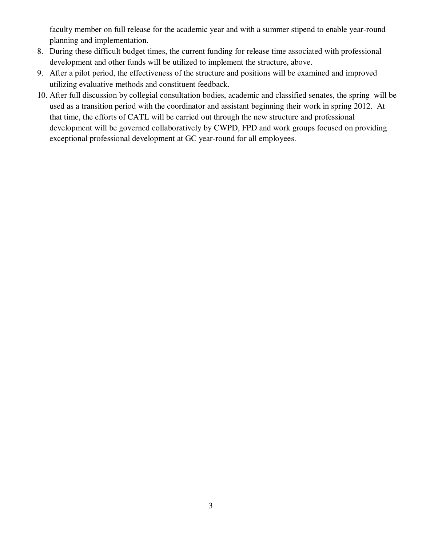faculty member on full release for the academic year and with a summer stipend to enable year-round planning and implementation.

- 8. During these difficult budget times, the current funding for release time associated with professional development and other funds will be utilized to implement the structure, above.
- 9. After a pilot period, the effectiveness of the structure and positions will be examined and improved utilizing evaluative methods and constituent feedback.
- 10. After full discussion by collegial consultation bodies, academic and classified senates, the spring will be used as a transition period with the coordinator and assistant beginning their work in spring 2012. At that time, the efforts of CATL will be carried out through the new structure and professional development will be governed collaboratively by CWPD, FPD and work groups focused on providing exceptional professional development at GC year-round for all employees.